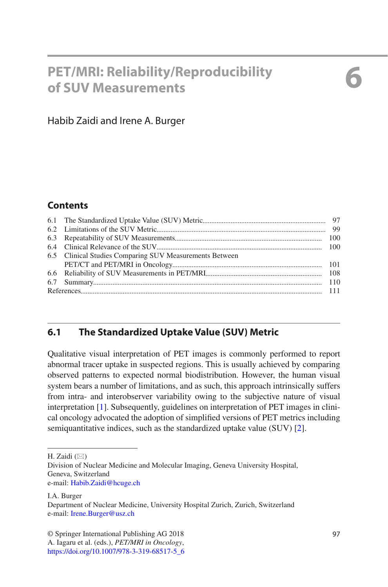# **6 PET/MRI: Reliability/Reproducibility of SUV Measurements**

# Habib Zaidi and Irene A. Burger

# **Contents**

| 6.5 Clinical Studies Comparing SUV Measurements Between |  |
|---------------------------------------------------------|--|
|                                                         |  |
|                                                         |  |
|                                                         |  |
|                                                         |  |
|                                                         |  |

# **6.1 The Standardized Uptake Value (SUV) Metric**

Qualitative visual interpretation of PET images is commonly performed to report abnormal tracer uptake in suspected regions. This is usually achieved by comparing observed patterns to expected normal biodistribution. However, the human visual system bears a number of limitations, and as such, this approach intrinsically suffers from intra- and interobserver variability owing to the subjective nature of visual interpretation [[1\]](#page-14-0). Subsequently, guidelines on interpretation of PET images in clinical oncology advocated the adoption of simplified versions of PET metrics including semiquantitative indices, such as the standardized uptake value (SUV) [[2\]](#page-14-1).

H. Zaidi  $(\boxtimes)$ 

I.A. Burger Department of Nuclear Medicine, University Hospital Zurich, Zurich, Switzerland e-mail: [Irene.Burger@usz.ch](mailto:Irene.Burger@usz.ch)

A. Iagaru et al. (eds.), *PET/MRI in Oncology*, [https://doi.org/10.1007/978-3-319-68517-5\\_6](https://doi.org/10.1007/978-3-319-68517-5_6)

Division of Nuclear Medicine and Molecular Imaging, Geneva University Hospital, Geneva, Switzerland e-mail: [Habib.Zaidi@hcuge.ch](mailto:Habib.Zaidi@hcuge.ch)

<sup>©</sup> Springer International Publishing AG 2018 97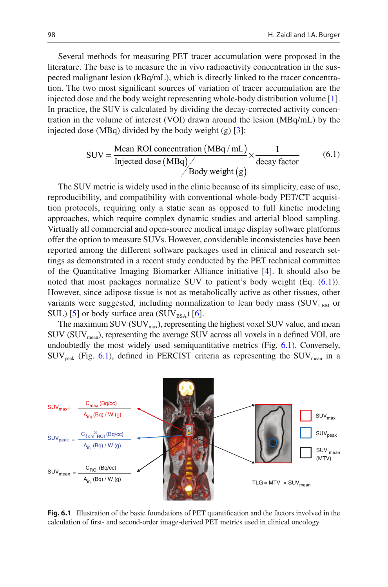Several methods for measuring PET tracer accumulation were proposed in the literature. The base is to measure the in vivo radioactivity concentration in the suspected malignant lesion (kBq/mL), which is directly linked to the tracer concentration. The two most significant sources of variation of tracer accumulation are the injected dose and the body weight representing whole-body distribution volume [[1\]](#page-14-0). In practice, the SUV is calculated by dividing the decay-corrected activity concentration in the volume of interest (VOI) drawn around the lesion (MBq/mL) by the injected dose (MBq) divided by the body weight (g)  $\lceil 3 \rceil$ :

$$
SUV = \frac{\text{Mean ROI concentration (MBq/mL)}}{\text{Injected dose (MBq)}} \times \frac{1}{\text{decay factor}}
$$
(6.1)

<span id="page-1-0"></span>The SUV metric is widely used in the clinic because of its simplicity, ease of use, reproducibility, and compatibility with conventional whole-body PET/CT acquisition protocols, requiring only a static scan as opposed to full kinetic modeling approaches, which require complex dynamic studies and arterial blood sampling. Virtually all commercial and open-source medical image display software platforms offer the option to measure SUVs. However, considerable inconsistencies have been reported among the different software packages used in clinical and research settings as demonstrated in a recent study conducted by the PET technical committee of the Quantitative Imaging Biomarker Alliance initiative [[4\]](#page-14-3). It should also be noted that most packages normalize SUV to patient's body weight (Eq. ([6.1](#page-1-0))). However, since adipose tissue is not as metabolically active as other tissues, other variants were suggested, including normalization to lean body mass  $(SUV<sub>LBM</sub>$  or SUL) [[5\]](#page-14-4) or body surface area  $(SUV_{BSA})$  [[6\]](#page-14-5).

The maximum SUV ( $\text{SUV}_{\text{max}}$ ), representing the highest voxel SUV value, and mean  $\text{SUV}$  ( $\text{SUV}_{\text{mean}}$ ), representing the average  $\text{SUV}$  across all voxels in a defined VOI, are undoubtedly the most widely used semiquantitative metrics (Fig. [6.1\)](#page-1-1). Conversely,  $\text{SUV}_{\text{peak}}$  (Fig. [6.1](#page-1-1)), defined in PERCIST criteria as representing the  $\text{SUV}_{\text{mean}}$  in a

<span id="page-1-1"></span>

**Fig. 6.1** Illustration of the basic foundations of PET quantification and the factors involved in the calculation of first- and second-order image-derived PET metrics used in clinical oncology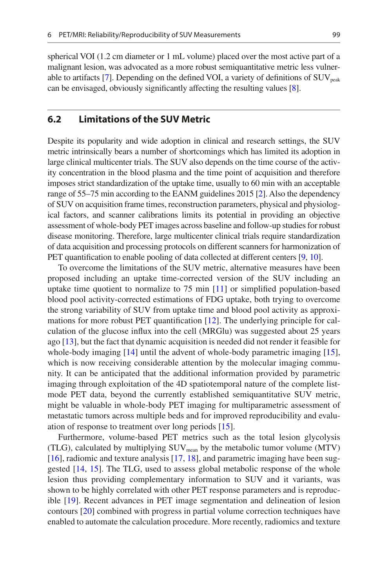spherical VOI (1.2 cm diameter or 1 mL volume) placed over the most active part of a malignant lesion, was advocated as a more robust semiquantitative metric less vulner-able to artifacts [[7\]](#page-14-6). Depending on the defined VOI, a variety of definitions of  $\text{SUV}_{\text{peak}}$ can be envisaged, obviously significantly affecting the resulting values [[8\]](#page-14-7).

## **6.2 Limitations of the SUV Metric**

Despite its popularity and wide adoption in clinical and research settings, the SUV metric intrinsically bears a number of shortcomings which has limited its adoption in large clinical multicenter trials. The SUV also depends on the time course of the activity concentration in the blood plasma and the time point of acquisition and therefore imposes strict standardization of the uptake time, usually to 60 min with an acceptable range of 55–75 min according to the EANM guidelines 2015 [\[2\]](#page-14-1). Also the dependency of SUV on acquisition frame times, reconstruction parameters, physical and physiological factors, and scanner calibrations limits its potential in providing an objective assessment of whole-body PET images across baseline and follow-up studies for robust disease monitoring. Therefore, large multicenter clinical trials require standardization of data acquisition and processing protocols on different scanners for harmonization of PET quantification to enable pooling of data collected at different centers [\[9](#page-14-8), [10\]](#page-14-9).

To overcome the limitations of the SUV metric, alternative measures have been proposed including an uptake time-corrected version of the SUV including an uptake time quotient to normalize to 75 min [\[11](#page-14-10)] or simplified population-based blood pool activity-corrected estimations of FDG uptake, both trying to overcome the strong variability of SUV from uptake time and blood pool activity as approximations for more robust PET quantification [\[12](#page-14-11)]. The underlying principle for calculation of the glucose influx into the cell (MRGlu) was suggested about 25 years ago [[13\]](#page-15-0), but the fact that dynamic acquisition is needed did not render it feasible for whole-body imaging [\[14](#page-15-1)] until the advent of whole-body parametric imaging [[15\]](#page-15-2), which is now receiving considerable attention by the molecular imaging community. It can be anticipated that the additional information provided by parametric imaging through exploitation of the 4D spatiotemporal nature of the complete listmode PET data, beyond the currently established semiquantitative SUV metric, might be valuable in whole-body PET imaging for multiparametric assessment of metastatic tumors across multiple beds and for improved reproducibility and evaluation of response to treatment over long periods [[15\]](#page-15-2).

Furthermore, volume-based PET metrics such as the total lesion glycolysis (TLG), calculated by multiplying  $\text{SUV}_{\text{mean}}$  by the metabolic tumor volume (MTV) [\[16](#page-15-3)], radiomic and texture analysis [\[17](#page-15-4), [18\]](#page-15-5), and parametric imaging have been suggested [[14,](#page-15-1) [15\]](#page-15-2). The TLG, used to assess global metabolic response of the whole lesion thus providing complementary information to SUV and it variants, was shown to be highly correlated with other PET response parameters and is reproducible [[19\]](#page-15-6). Recent advances in PET image segmentation and delineation of lesion contours [\[20](#page-15-7)] combined with progress in partial volume correction techniques have enabled to automate the calculation procedure. More recently, radiomics and texture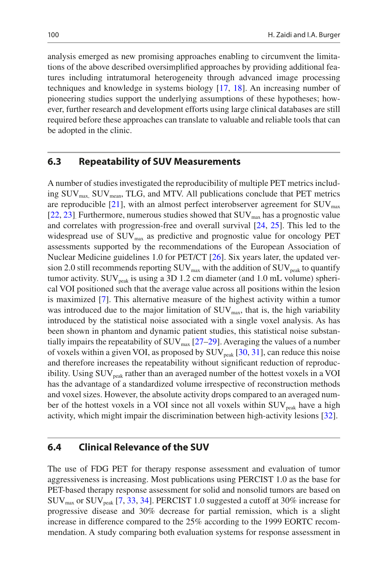analysis emerged as new promising approaches enabling to circumvent the limitations of the above described oversimplified approaches by providing additional features including intratumoral heterogeneity through advanced image processing techniques and knowledge in systems biology [\[17](#page-15-4), [18](#page-15-5)]. An increasing number of pioneering studies support the underlying assumptions of these hypotheses; however, further research and development efforts using large clinical databases are still required before these approaches can translate to valuable and reliable tools that can be adopted in the clinic.

## **6.3 Repeatability of SUV Measurements**

A number of studies investigated the reproducibility of multiple PET metrics including  $\text{SUV}_{\text{max}}$ ,  $\text{SUV}_{\text{mean}}$ , TLG, and MTV. All publications conclude that PET metrics are reproducible  $[21]$  $[21]$ , with an almost perfect interobserver agreement for  $\text{SUV}_{\text{max}}$ [\[22](#page-15-9), [23\]](#page-15-10). Furthermore, numerous studies showed that  $\text{SUV}_{\text{max}}$  has a prognostic value and correlates with progression-free and overall survival [[24,](#page-15-11) [25\]](#page-15-12). This led to the widespread use of  $\text{SUV}_{\text{max}}$  as predictive and prognostic value for oncology PET assessments supported by the recommendations of the European Association of Nuclear Medicine guidelines 1.0 for PET/CT [\[26](#page-15-13)]. Six years later, the updated version 2.0 still recommends reporting  $\text{SUV}_{\text{max}}$  with the addition of  $\text{SUV}_{\text{peak}}$  to quantify tumor activity.  $\text{SUV}_{\text{peak}}$  is using a 3D 1.2 cm diameter (and 1.0 mL volume) spherical VOI positioned such that the average value across all positions within the lesion is maximized [\[7](#page-14-6)]. This alternative measure of the highest activity within a tumor was introduced due to the major limitation of  $\text{SUV}_{\text{max}}$ , that is, the high variability introduced by the statistical noise associated with a single voxel analysis. As has been shown in phantom and dynamic patient studies, this statistical noise substantially impairs the repeatability of  $\text{SUV}_{\text{max}}$  [[27–](#page-15-14)[29\]](#page-15-15). Averaging the values of a number of voxels within a given VOI, as proposed by  $\text{SUV}_{\text{peak}}$  [\[30](#page-15-16), [31\]](#page-15-17), can reduce this noise and therefore increases the repeatability without significant reduction of reproducibility. Using  $\text{SUV}_{\text{peak}}$  rather than an averaged number of the hottest voxels in a VOI has the advantage of a standardized volume irrespective of reconstruction methods and voxel sizes. However, the absolute activity drops compared to an averaged number of the hottest voxels in a VOI since not all voxels within  $\text{SUV}_{\text{peak}}$  have a high activity, which might impair the discrimination between high-activity lesions [\[32](#page-15-18)].

#### **6.4 Clinical Relevance of the SUV**

The use of FDG PET for therapy response assessment and evaluation of tumor aggressiveness is increasing. Most publications using PERCIST 1.0 as the base for PET-based therapy response assessment for solid and nonsolid tumors are based on  $\text{SUV}_{\text{max}}$  or  $\text{SUV}_{\text{peak}}$  [\[7](#page-14-6), [33,](#page-15-19) [34\]](#page-15-20). PERCIST 1.0 suggested a cutoff at 30% increase for progressive disease and 30% decrease for partial remission, which is a slight increase in difference compared to the 25% according to the 1999 EORTC recommendation. A study comparing both evaluation systems for response assessment in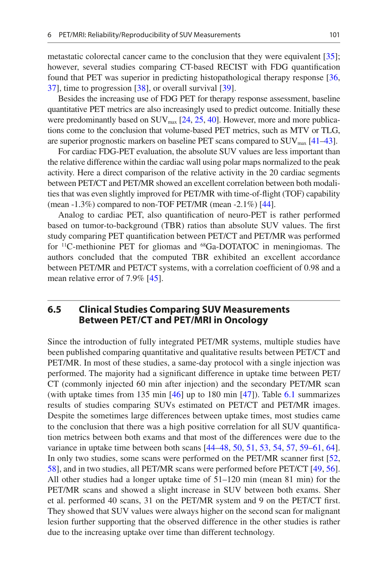metastatic colorectal cancer came to the conclusion that they were equivalent [\[35](#page-16-0)]; however, several studies comparing CT-based RECIST with FDG quantification found that PET was superior in predicting histopathological therapy response [\[36](#page-16-1), [37\]](#page-16-2), time to progression [\[38](#page-16-3)], or overall survival [[39\]](#page-16-4).

Besides the increasing use of FDG PET for therapy response assessment, baseline quantitative PET metrics are also increasingly used to predict outcome. Initially these were predominantly based on  $\text{SUV}_{\text{max}}$  [\[24,](#page-15-11) [25](#page-15-12), [40\]](#page-16-5). However, more and more publications come to the conclusion that volume-based PET metrics, such as MTV or TLG, are superior prognostic markers on baseline PET scans compared to  $\text{SUV}_{\text{max}}$  [[41](#page-16-6)[–43](#page-16-7)].

For cardiac FDG-PET evaluation, the absolute SUV values are less important than the relative difference within the cardiac wall using polar maps normalized to the peak activity. Here a direct comparison of the relative activity in the 20 cardiac segments between PET/CT and PET/MR showed an excellent correlation between both modalities that was even slightly improved for PET/MR with time-of-flight (TOF) capability (mean -1.3%) compared to non-TOF PET/MR (mean -2.1%) [\[44\]](#page-16-8).

Analog to cardiac PET, also quantification of neuro-PET is rather performed based on tumor-to-background (TBR) ratios than absolute SUV values. The first study comparing PET quantification between PET/CT and PET/MR was performed for 11C-methionine PET for gliomas and 68Ga-DOTATOC in meningiomas. The authors concluded that the computed TBR exhibited an excellent accordance between PET/MR and PET/CT systems, with a correlation coefficient of 0.98 and a mean relative error of 7.9% [[45\]](#page-16-9).

# **6.5 Clinical Studies Comparing SUV Measurements Between PET/CT and PET/MRI in Oncology**

Since the introduction of fully integrated PET/MR systems, multiple studies have been published comparing quantitative and qualitative results between PET/CT and PET/MR. In most of these studies, a same-day protocol with a single injection was performed. The majority had a significant difference in uptake time between PET/ CT (commonly injected 60 min after injection) and the secondary PET/MR scan (with uptake times from 135 min [[46\]](#page-16-10) up to 180 min [\[47](#page-16-11)]). Table [6.1](#page-5-0) summarizes results of studies comparing SUVs estimated on PET/CT and PET/MR images. Despite the sometimes large differences between uptake times, most studies came to the conclusion that there was a high positive correlation for all SUV quantification metrics between both exams and that most of the differences were due to the variance in uptake time between both scans [[44–](#page-16-8)[48,](#page-16-12) [50](#page-16-13), [51](#page-16-14), [53](#page-16-15), [54](#page-16-16), [57](#page-17-0), [59–](#page-17-1)[61,](#page-17-2) [64\]](#page-17-3). In only two studies, some scans were performed on the PET/MR scanner first [\[52](#page-16-17), [58\]](#page-17-4), and in two studies, all PET/MR scans were performed before PET/CT [[49,](#page-16-18) [56\]](#page-17-5). All other studies had a longer uptake time of 51–120 min (mean 81 min) for the PET/MR scans and showed a slight increase in SUV between both exams. Sher et al. performed 40 scans, 31 on the PET/MR system and 9 on the PET/CT first. They showed that SUV values were always higher on the second scan for malignant lesion further supporting that the observed difference in the other studies is rather due to the increasing uptake over time than different technology.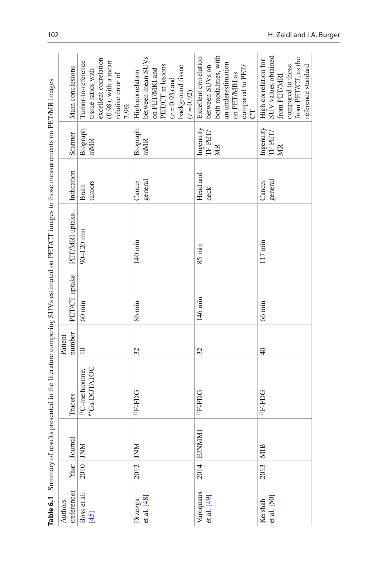<span id="page-5-0"></span>

|                          |            |               |                                                         |                   |                  | Table 6.1 Summary of results presented in the literature comparing SUVs estimated on PET/CT images to those measurements on PET/MR images |                        |                                           |                                                                                                                                                   |
|--------------------------|------------|---------------|---------------------------------------------------------|-------------------|------------------|-------------------------------------------------------------------------------------------------------------------------------------------|------------------------|-------------------------------------------|---------------------------------------------------------------------------------------------------------------------------------------------------|
| (reference)<br>Authors   |            | Year Journal  | Tracers                                                 | number<br>Patient | PET/CT uptake    | PET/MRI uptake                                                                                                                            | Indication             | Scanner                                   | Main conclusions                                                                                                                                  |
| Boss et al.<br>$[45]$    | 2010   JNM |               | <sup>68</sup> Ga-DOTATOC<br><sup>11</sup> C-methionine, | $\overline{10}$   | $60 \text{ min}$ | 90-120 min                                                                                                                                | tumors<br><b>Brain</b> | Biograph<br>mMR                           | excellent correlation<br>Tumor-to-reference<br>$(0.98)$ , with a mean<br>tissue ratios with<br>relative error of<br>7.9%                          |
| et al. [48]<br>Drzezga   | $2012$ JNM |               | PGH-H <sub>81</sub>                                     | 32                | 86 min           | 140 min                                                                                                                                   | Cancer<br>general      | Biograph<br>mMR                           | between mean SUV <sub>s</sub><br>PET/CT in lesions<br>background tissue<br>$(r = 0.92)$<br>on PET/MRI and<br>High correlation<br>$(r = 0.93)$ and |
| Varoquaux<br>et al. [49] | 2014       | <b>EJNMMI</b> | <b>DGH-H<sub>81</sub></b>                               | 32                | 146 min          | $85 \text{ min}$                                                                                                                          | Head and<br>neck       | Ingenuity TF $\operatorname{PET} /$<br>MR | both modalities, with<br>Excellent correlation<br>an underestimation<br>between SUVs on<br>compared to PET/<br>on PET/MRI as<br>5                 |
| et al. [50]<br>Kershah   | 2013       | MIB           | <b>DCI-H<sub>81</sub></b>                               | $\overline{4}$    | $66 \text{ min}$ | 117 min                                                                                                                                   | general<br>Cancer      | Ingenuity<br>TF PET/<br>MR                | SUV values obtained<br>from PET/CT, as the<br>High correlation for<br>compared to those<br>reference standard<br>from PET/MRI                     |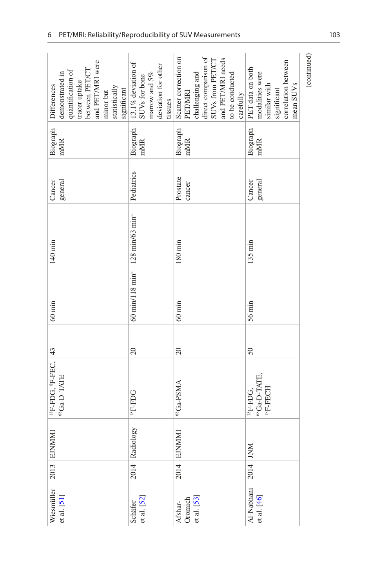| Wiesmüller<br>et al. [51]<br>et al. [52]<br>Oromich<br>et al. [53]<br>Schäfer<br>Afshar- | 2014<br>2014 | Radiology<br>2013 EJNMM<br><b>EJNMMMI</b> | <sup>18</sup> F-FDG, <sup>8</sup> F-FEC, <sup>43</sup><br><sup>68</sup> Ga-D-TATE<br><sup>68</sup> Ga-PSMA<br>PCH-H <sub>81</sub> | 20<br>$\overline{20}$ | 60 min/118 min <sup>3</sup> 128 min/63 min <sup>3</sup><br>$60 \min$<br>$60 \text{ min}$ | 140 min<br>$180 \text{ min}$ | Pediatrics<br>Prostate<br>general<br>Cancer<br>cancer | Biograph<br>Biograph<br>Biograph<br>mMR<br>mMR<br>mMR | Scatter correction on<br>and PET/MRI were<br>$13.1\%$ deviation of SUVs for bone<br>deviation for other<br>between PET/CT<br>quantification of<br>challenging and<br>demonstrated in<br>marrow and 5%<br>tracer uptake<br>Differences<br>statistically<br>significant<br>PETMRI<br>minor but<br>tissues |
|------------------------------------------------------------------------------------------|--------------|-------------------------------------------|-----------------------------------------------------------------------------------------------------------------------------------|-----------------------|------------------------------------------------------------------------------------------|------------------------------|-------------------------------------------------------|-------------------------------------------------------|---------------------------------------------------------------------------------------------------------------------------------------------------------------------------------------------------------------------------------------------------------------------------------------------------------|
| Al-Nabhani<br>et al. [46]                                                                | 2014 JNM     |                                           | 68Ga-D-TATE.<br>ISF-FECH<br><sup>18</sup> F-FDG,                                                                                  | 50                    | $56 \text{ min}$                                                                         | $135 \text{ min}$            | general<br>Cancer                                     | Biograph<br>mMR                                       | (continued)<br>direct comparison of<br>and PET/MRI needs<br>SUVs from PET/CT<br>correlation between<br>PET data on both<br>modalities were<br>to be conducted<br>similar with<br>mean SUV <sub>s</sub><br>carefully<br>significant                                                                      |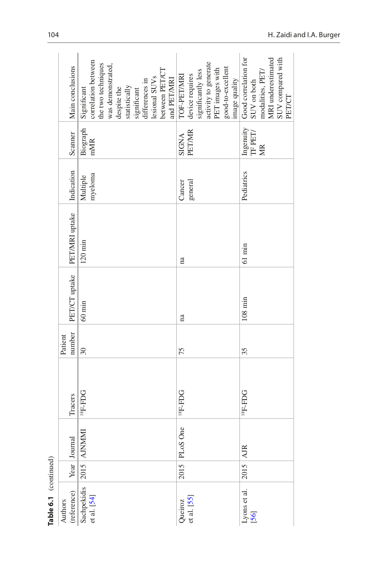| Authors                                |      |                    |                           |                 |                   |                              |                     |                                                                  |                                    |
|----------------------------------------|------|--------------------|---------------------------|-----------------|-------------------|------------------------------|---------------------|------------------------------------------------------------------|------------------------------------|
|                                        |      |                    |                           | Patient         |                   |                              |                     |                                                                  |                                    |
| (reference)                            |      | Year Journal       | Tracers                   | number          |                   | PET/CT uptake PET/MRI uptake | Indication          | Scanner                                                          | Main conclusions                   |
| Sachpekidis 2015 AJNMMI<br>et al. [54] |      |                    | <b>DCI+H<sub>81</sub></b> | $\overline{30}$ | $60 \text{ min}$  | $120$ min                    | myeloma<br>Multiple | Biograph<br>mMR                                                  | correlation between<br>Significant |
|                                        |      |                    |                           |                 |                   |                              |                     |                                                                  | the two techniques                 |
|                                        |      |                    |                           |                 |                   |                              |                     |                                                                  | was demonstrated,                  |
|                                        |      |                    |                           |                 |                   |                              |                     |                                                                  | despite the                        |
|                                        |      |                    |                           |                 |                   |                              |                     |                                                                  | statistically                      |
|                                        |      |                    |                           |                 |                   |                              |                     |                                                                  | significant                        |
|                                        |      |                    |                           |                 |                   |                              |                     |                                                                  | differences in                     |
|                                        |      |                    |                           |                 |                   |                              |                     |                                                                  | lesional SUV <sub>s</sub>          |
|                                        |      |                    |                           |                 |                   |                              |                     |                                                                  | between PET/CT                     |
|                                        |      |                    |                           |                 |                   |                              |                     |                                                                  | and PET/MRI                        |
| Queiroz                                |      | One<br>$2015$ PLoS | <b>DGH-H<sub>81</sub></b> | 75              | na                | na                           | Cancer              | <b>SIGNA</b>                                                     | TOF-PET/MRI                        |
| et al. [55]                            |      |                    |                           |                 |                   |                              | general             | <b>PET/MR</b>                                                    | device requires                    |
|                                        |      |                    |                           |                 |                   |                              |                     |                                                                  | significantly less                 |
|                                        |      |                    |                           |                 |                   |                              |                     |                                                                  | activity to generate               |
|                                        |      |                    |                           |                 |                   |                              |                     |                                                                  | PET images with                    |
|                                        |      |                    |                           |                 |                   |                              |                     |                                                                  | good-to-excellent                  |
|                                        |      |                    |                           |                 |                   |                              |                     |                                                                  | image quality                      |
|                                        | 2015 | <b>AJR</b>         | <b>DCH-H<sub>81</sub></b> | 35              | $108 \text{ min}$ | $61 \text{ min}$             | Pediatrics          | $\begin{array}{l} \text{Ingenuity}\\ \text{TF PET/} \end{array}$ | Good correlation for               |
| Lyons et al.<br>[56]                   |      |                    |                           |                 |                   |                              |                     |                                                                  | SUV on both                        |
|                                        |      |                    |                           |                 |                   |                              |                     | МR                                                               | modalities, PET/                   |
|                                        |      |                    |                           |                 |                   |                              |                     |                                                                  | MRI underestimated                 |
|                                        |      |                    |                           |                 |                   |                              |                     |                                                                  | SUV compared with                  |
|                                        |      |                    |                           |                 |                   |                              |                     |                                                                  | PET/CT                             |

Table 6.1 (continued) **Table 6.1** (continued)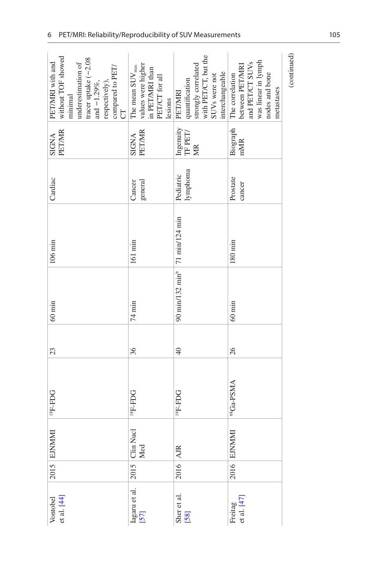|                                                                                                                                                                           |                                                                                                      |                                                                                                                         |                                                                                                                          | (continued) |
|---------------------------------------------------------------------------------------------------------------------------------------------------------------------------|------------------------------------------------------------------------------------------------------|-------------------------------------------------------------------------------------------------------------------------|--------------------------------------------------------------------------------------------------------------------------|-------------|
|                                                                                                                                                                           |                                                                                                      |                                                                                                                         |                                                                                                                          |             |
| without TOF showed<br>tracer uptake (-2.08<br>PET/MRI with and<br>underestimation of<br>compared to PET/<br>respectively),<br>and $-1.29\%,$<br>minimal<br>$\overline{C}$ | values were higher<br>The mean $\mathrm{SUV}_{\max}$<br>in PET/MRI than<br>PET/CT for all<br>lesions | with PET/CT, but the<br>strongly correlated<br>interchangeable<br>SUV <sub>s</sub> were not<br>quantification<br>PETMRI | was linear in lymph<br>and PET/CT SUV <sub>s</sub><br>between PET/MRI<br>nodes and bone<br>The correlation<br>metastases |             |
|                                                                                                                                                                           |                                                                                                      |                                                                                                                         |                                                                                                                          |             |
| <b>PET/MR</b><br>SIGNA                                                                                                                                                    | <b>PET/MR</b><br>SIGNA                                                                               | $\begin{array}{l} \text{Ingenuity}\\ \text{TF PET/} \end{array}$<br>MR                                                  | Biograph<br>mMR                                                                                                          |             |
|                                                                                                                                                                           |                                                                                                      |                                                                                                                         |                                                                                                                          |             |
| Cardiac                                                                                                                                                                   | general<br>Cancer                                                                                    | lymphoma<br>Pediatric                                                                                                   | Prostate<br>cancer                                                                                                       |             |
|                                                                                                                                                                           |                                                                                                      |                                                                                                                         |                                                                                                                          |             |
|                                                                                                                                                                           |                                                                                                      |                                                                                                                         |                                                                                                                          |             |
| $106 \min$                                                                                                                                                                | 161 min                                                                                              | 90 min/132 min <sup>b</sup> 71 min/124 min                                                                              | $180 \text{ min}$                                                                                                        |             |
|                                                                                                                                                                           |                                                                                                      |                                                                                                                         |                                                                                                                          |             |
|                                                                                                                                                                           |                                                                                                      |                                                                                                                         |                                                                                                                          |             |
| $60 \text{ min}$                                                                                                                                                          | 74 min                                                                                               |                                                                                                                         | $60 \text{ min}$                                                                                                         |             |
| 23                                                                                                                                                                        | 36                                                                                                   | $\overline{4}$                                                                                                          | 26                                                                                                                       |             |
|                                                                                                                                                                           |                                                                                                      |                                                                                                                         |                                                                                                                          |             |
|                                                                                                                                                                           |                                                                                                      |                                                                                                                         |                                                                                                                          |             |
| 18F-FDG                                                                                                                                                                   | <b>DGH-H<sub>81</sub></b>                                                                            | <b>DCH-H<sub>81</sub></b>                                                                                               | 68Ga-PSMA                                                                                                                |             |
|                                                                                                                                                                           |                                                                                                      |                                                                                                                         |                                                                                                                          |             |
|                                                                                                                                                                           | Med                                                                                                  |                                                                                                                         |                                                                                                                          |             |
| 2015 EJNMMI                                                                                                                                                               | 2015 Clin Nucl                                                                                       | $2016$ $\text{AJB}$                                                                                                     | 2016 EJNMMI                                                                                                              |             |
|                                                                                                                                                                           |                                                                                                      |                                                                                                                         |                                                                                                                          |             |
| et al. [44]<br>Vontobel                                                                                                                                                   | Iagaru et al.<br>[57]                                                                                | Sher et al.<br>[58]                                                                                                     | et al. [47]<br>Freitag                                                                                                   |             |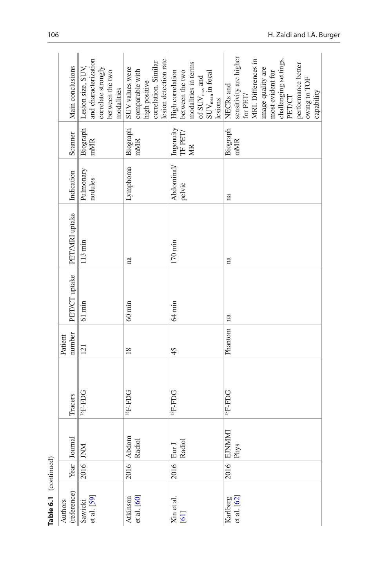| Table 6.1 (continued)   |      |                 |                           |                   |                  |                   |                      |                                                     |                                                                                                                                                                                                                         |
|-------------------------|------|-----------------|---------------------------|-------------------|------------------|-------------------|----------------------|-----------------------------------------------------|-------------------------------------------------------------------------------------------------------------------------------------------------------------------------------------------------------------------------|
| (reference)<br>Authors  |      | Year Journal    | Tracers                   | number<br>Patient | PET/CT uptake    | PET/MRI uptake    | Indication           | Scanner                                             | Main conclusions                                                                                                                                                                                                        |
| Sawicki<br>et al. [59]  |      | 2016 JNM        | <b>DCI-H<sub>81</sub></b> | 121               | $61 \text{ min}$ | $113 \text{ min}$ | Pulmonary<br>nodules | Biograph<br>mMR                                     | and characterization<br>Lesion size, SUV,<br>correlate strongly<br>between the two<br>modalities                                                                                                                        |
| et al. [60]<br>Atkinson | 2016 | Abdom<br>Radiol | <b>DCI-H<sub>81</sub></b> | 18                | $60 \text{ min}$ | na                | Lymphoma             | Biograph<br>mMR                                     | lesion detection rate<br>correlation. Similar<br>SUV values were<br>comparable with<br>high positive                                                                                                                    |
| Xin et al.<br>[61]      | 2016 | Radiol<br>Eur   | <b>DCI-H<sub>81</sub></b> | 45                | $64 \text{ min}$ | $170 \text{ min}$ | Abdominal/<br>pelvic | Ingenuity $\mathop{\rm TFF}\nolimits$<br><b>NIK</b> | modalities in terms<br>of $\text{SUV}_{\text{max}}$ and<br>$\text{SUV}_{\text{mean}}$ in focal<br>High correlation<br>between the two<br>lesions                                                                        |
| Karlberg<br>et al. [62] | 2016 | EJNMMI<br>Phys  | <b>DCI-H<sub>81</sub></b> | Phantom           | na               | na                | na                   | Biograph<br>mMR                                     | sensitivity are higher<br>MRI. Differences in<br>challenging settings.<br>PET/CT<br>performance better<br>mage quality are<br>most evident for<br>owing to TOF<br>NECRs and<br>for $\operatorname{PET} /$<br>capability |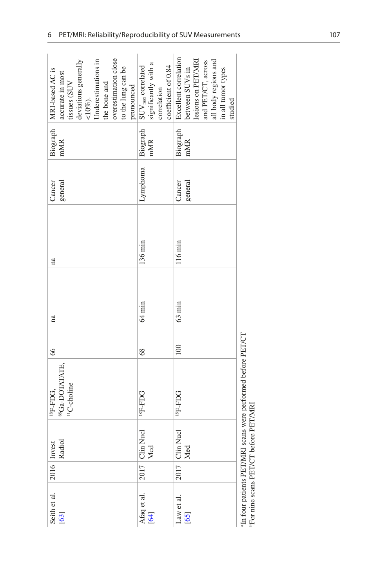| overestimation close<br>deviations generally<br>Jnderestimations in<br>to the lung can be<br>Biograph   MRI-based AC is<br>accurate in most<br>the bone and<br>pronounced<br>tissues (SUV<br>$10\%$ ). | significantly with a<br>coefficient of 0.84<br>$\mathrm{SUV}_{\rm max}$ correlated<br>correlation | Excellent correlation<br>lesions on PET/MRI<br>all body regions and<br>and PET/CT, across<br>between SUVs in<br>in all tumor types<br>studied |
|--------------------------------------------------------------------------------------------------------------------------------------------------------------------------------------------------------|---------------------------------------------------------------------------------------------------|-----------------------------------------------------------------------------------------------------------------------------------------------|
| mMR                                                                                                                                                                                                    | Biograph<br>mMR                                                                                   | Biograph<br>mMR                                                                                                                               |
| general<br>Cancer                                                                                                                                                                                      | Lymphoma                                                                                          | general<br>Cancer                                                                                                                             |
| na                                                                                                                                                                                                     | $136 \text{ min}$                                                                                 | 116 min                                                                                                                                       |
| na                                                                                                                                                                                                     | $64 \text{ min}$                                                                                  | $63 \text{ min}$                                                                                                                              |
| 66                                                                                                                                                                                                     | 68                                                                                                | 100                                                                                                                                           |
| <sup>58</sup> Ga-DOTATATE,<br><sup>1</sup> C-choline<br><sup>18</sup> F-FDG,                                                                                                                           | PGH-H <sub>81</sub>                                                                               | <b>DGH-H<sub>81</sub></b>                                                                                                                     |
| $\overline{Q}$<br>2016 Invest<br>Rad                                                                                                                                                                   | Clin Nucl<br>Med                                                                                  | Clin Nucl<br>Med                                                                                                                              |
|                                                                                                                                                                                                        | 2017                                                                                              | 2017                                                                                                                                          |
| Seith et al.<br>[63]                                                                                                                                                                                   | Afaq et al.<br>$\left[ 64\right]$                                                                 | Law et al.<br>[65]                                                                                                                            |

 $^{\rm a} \rm{In}$  four patients PET/MRI scans were performed before PET/CT  $^{\rm b} \rm{For}$  nine scans PET/CT before PET/MRI aIn four patients PET/MRI scans were performed before PET/CT bFor nine scans PET/CT before PET/MRI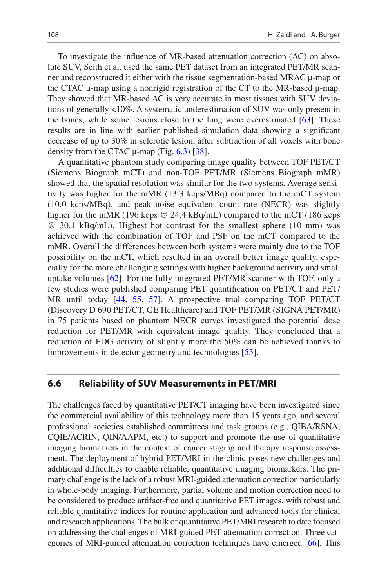To investigate the influence of MR-based attenuation correction (AC) on absolute SUV, Seith et al. used the same PET dataset from an integrated PET/MR scanner and reconstructed it either with the tissue segmentation-based MRAC μ-map or the CTAC μ-map using a nonrigid registration of the CT to the MR-based μ-map. They showed that MR-based AC is very accurate in most tissues with SUV deviations of generally <10%. A systematic underestimation of SUV was only present in the bones, while some lesions close to the lung were overestimated [\[63](#page-17-9)]. These results are in line with earlier published simulation data showing a significant decrease of up to 30% in sclerotic lesion, after subtraction of all voxels with bone density from the CTAC  $\mu$ -map (Fig. [6.3](#page-13-0)) [\[38](#page-16-3)].

A quantitative phantom study comparing image quality between TOF PET/CT (Siemens Biograph mCT) and non-TOF PET/MR (Siemens Biograph mMR) showed that the spatial resolution was similar for the two systems. Average sensitivity was higher for the mMR (13.3 kcps/MBq) compared to the mCT system (10.0 kcps/MBq), and peak noise equivalent count rate (NECR) was slightly higher for the mMR (196 kcps @ 24.4 kBq/mL) compared to the mCT (186 kcps @ 30.1 kBq/mL). Highest hot contrast for the smallest sphere (10 mm) was achieved with the combination of TOF and PSF on the mCT compared to the mMR. Overall the differences between both systems were mainly due to the TOF possibility on the mCT, which resulted in an overall better image quality, especially for the more challenging settings with higher background activity and small uptake volumes [[62\]](#page-17-8). For the fully integrated PET/MR scanner with TOF, only a few studies were published comparing PET quantification on PET/CT and PET/ MR until today [[44,](#page-16-8) [55](#page-17-6), [57\]](#page-17-0). A prospective trial comparing TOF PET/CT (Discovery D 690 PET/CT, GE Healthcare) and TOF PET/MR (SIGNA PET/MR) in 75 patients based on phantom NECR curves investigated the potential dose reduction for PET/MR with equivalent image quality. They concluded that a reduction of FDG activity of slightly more the 50% can be achieved thanks to improvements in detector geometry and technologies [[55](#page-17-6)].

#### **6.6 Reliability of SUV Measurements in PET/MRI**

The challenges faced by quantitative PET/CT imaging have been investigated since the commercial availability of this technology more than 15 years ago, and several professional societies established committees and task groups (e.g., QIBA/RSNA, CQIE/ACRIN, QIN/AAPM, etc.) to support and promote the use of quantitative imaging biomarkers in the context of cancer staging and therapy response assessment. The deployment of hybrid PET/MRI in the clinic poses new challenges and additional difficulties to enable reliable, quantitative imaging biomarkers. The primary challenge is the lack of a robust MRI-guided attenuation correction particularly in whole-body imaging. Furthermore, partial volume and motion correction need to be considered to produce artifact-free and quantitative PET images, with robust and reliable quantitative indices for routine application and advanced tools for clinical and research applications. The bulk of quantitative PET/MRI research to date focused on addressing the challenges of MRI-guided PET attenuation correction. Three categories of MRI-guided attenuation correction techniques have emerged [[66\]](#page-17-11). This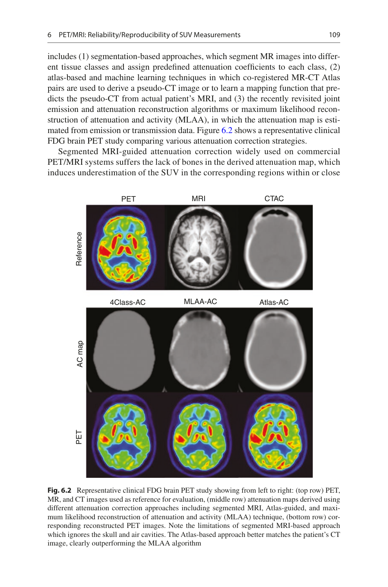includes (1) segmentation-based approaches, which segment MR images into different tissue classes and assign predefined attenuation coefficients to each class, (2) atlas-based and machine learning techniques in which co-registered MR-CT Atlas pairs are used to derive a pseudo-CT image or to learn a mapping function that predicts the pseudo-CT from actual patient's MRI, and (3) the recently revisited joint emission and attenuation reconstruction algorithms or maximum likelihood reconstruction of attenuation and activity (MLAA), in which the attenuation map is estimated from emission or transmission data. Figure [6.2](#page-12-0) shows a representative clinical FDG brain PET study comparing various attenuation correction strategies.

Segmented MRI-guided attenuation correction widely used on commercial PET/MRI systems suffers the lack of bones in the derived attenuation map, which induces underestimation of the SUV in the corresponding regions within or close

<span id="page-12-0"></span>

**Fig. 6.2** Representative clinical FDG brain PET study showing from left to right: (top row) PET, MR, and CT images used as reference for evaluation, (middle row) attenuation maps derived using different attenuation correction approaches including segmented MRI, Atlas-guided, and maximum likelihood reconstruction of attenuation and activity (MLAA) technique, (bottom row) corresponding reconstructed PET images. Note the limitations of segmented MRI-based approach which ignores the skull and air cavities. The Atlas-based approach better matches the patient's CT image, clearly outperforming the MLAA algorithm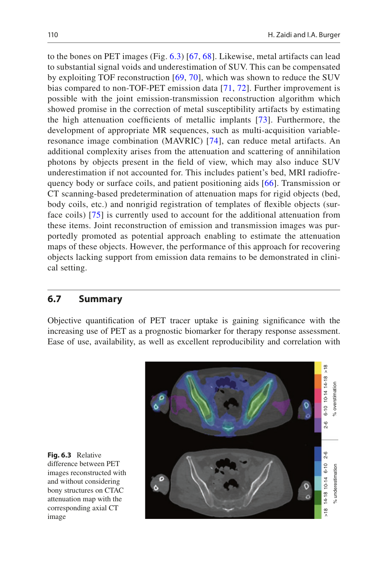to the bones on PET images (Fig. [6.3](#page-13-0)) [\[67,](#page-17-12) [68\]](#page-17-13). Likewise, metal artifacts can lead to substantial signal voids and underestimation of SUV. This can be compensated by exploiting TOF reconstruction [[69,](#page-17-14) [70](#page-17-15)], which was shown to reduce the SUV bias compared to non-TOF-PET emission data [[71](#page-17-16), [72](#page-17-17)]. Further improvement is possible with the joint emission-transmission reconstruction algorithm which showed promise in the correction of metal susceptibility artifacts by estimating the high attenuation coefficients of metallic implants [[73](#page-17-18)]. Furthermore, the development of appropriate MR sequences, such as multi-acquisition variableresonance image combination (MAVRIC) [\[74\]](#page-17-19), can reduce metal artifacts. An additional complexity arises from the attenuation and scattering of annihilation photons by objects present in the field of view, which may also induce SUV underestimation if not accounted for. This includes patient's bed, MRI radiofrequency body or surface coils, and patient positioning aids [[66](#page-17-11)]. Transmission or CT scanning-based predetermination of attenuation maps for rigid objects (bed, body coils, etc.) and nonrigid registration of templates of flexible objects (surface coils) [[75](#page-17-20)] is currently used to account for the additional attenuation from these items. Joint reconstruction of emission and transmission images was purportedly promoted as potential approach enabling to estimate the attenuation maps of these objects. However, the performance of this approach for recovering objects lacking support from emission data remains to be demonstrated in clinical setting.

# **6.7 Summary**

<span id="page-13-0"></span>Objective quantification of PET tracer uptake is gaining significance with the increasing use of PET as a prognostic biomarker for therapy response assessment. Ease of use, availability, as well as excellent reproducibility and correlation with



**Fig. 6.3** Relative difference between PET images reconstructed with and without considering bony structures on CTAC attenuation map with the corresponding axial CT image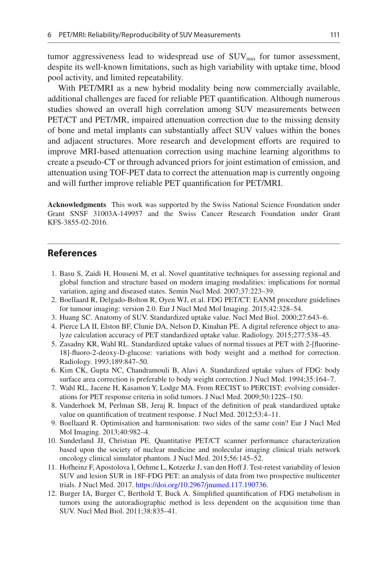tumor aggressiveness lead to widespread use of  $\text{SUV}_{\text{max}}$  for tumor assessment, despite its well-known limitations, such as high variability with uptake time, blood pool activity, and limited repeatability.

With PET/MRI as a new hybrid modality being now commercially available, additional challenges are faced for reliable PET quantification. Although numerous studies showed an overall high correlation among SUV measurements between PET/CT and PET/MR, impaired attenuation correction due to the missing density of bone and metal implants can substantially affect SUV values within the bones and adjacent structures. More research and development efforts are required to improve MRI-based attenuation correction using machine learning algorithms to create a pseudo-CT or through advanced priors for joint estimation of emission, and attenuation using TOF-PET data to correct the attenuation map is currently ongoing and will further improve reliable PET quantification for PET/MRI.

**Acknowledgments** This work was supported by the Swiss National Science Foundation under Grant SNSF 31003A-149957 and the Swiss Cancer Research Foundation under Grant KFS-3855-02-2016.

#### **References**

- <span id="page-14-0"></span>1. Basu S, Zaidi H, Houseni M, et al. Novel quantitative techniques for assessing regional and global function and structure based on modern imaging modalities: implications for normal variation, aging and diseased states. Semin Nucl Med. 2007;37:223–39.
- <span id="page-14-1"></span>2. Boellaard R, Delgado-Bolton R, Oyen WJ, et al. FDG PET/CT: EANM procedure guidelines for tumour imaging: version 2.0. Eur J Nucl Med Mol Imaging. 2015;42:328–54.
- <span id="page-14-2"></span>3. Huang SC. Anatomy of SUV. Standardized uptake value. Nucl Med Biol. 2000;27:643–6.
- <span id="page-14-3"></span>4. Pierce LA II, Elston BF, Clunie DA, Nelson D, Kinahan PE. A digital reference object to analyze calculation accuracy of PET standardized uptake value. Radiology. 2015;277:538–45.
- <span id="page-14-4"></span>5. Zasadny KR, Wahl RL. Standardized uptake values of normal tissues at PET with 2-[fluorine-18]-fluoro-2-deoxy-D-glucose: variations with body weight and a method for correction. Radiology. 1993;189:847–50.
- <span id="page-14-5"></span>6. Kim CK, Gupta NC, Chandramouli B, Alavi A. Standardized uptake values of FDG: body surface area correction is preferable to body weight correction. J Nucl Med. 1994;35:164–7.
- <span id="page-14-6"></span>7. Wahl RL, Jacene H, Kasamon Y, Lodge MA. From RECIST to PERCIST: evolving considerations for PET response criteria in solid tumors. J Nucl Med. 2009;50:122S–150.
- <span id="page-14-7"></span>8. Vanderhoek M, Perlman SB, Jeraj R. Impact of the definition of peak standardized uptake value on quantification of treatment response. J Nucl Med. 2012;53:4–11.
- <span id="page-14-8"></span>9. Boellaard R. Optimisation and harmonisation: two sides of the same coin? Eur J Nucl Med Mol Imaging. 2013;40:982–4.
- <span id="page-14-9"></span>10. Sunderland JJ, Christian PE. Quantitative PET/CT scanner performance characterization based upon the society of nuclear medicine and molecular imaging clinical trials network oncology clinical simulator phantom. J Nucl Med. 2015;56:145–52.
- <span id="page-14-10"></span>11. Hofheinz F, Apostolova I, Oehme L, Kotzerke J, van den Hoff J. Test-retest variability of lesion SUV and lesion SUR in 18F-FDG PET: an analysis of data from two prospective multicenter trials. J Nucl Med. 2017. <https://doi.org/10.2967/jnumed.117.190736>.
- <span id="page-14-11"></span>12. Burger IA, Burger C, Berthold T, Buck A. Simplified quantification of FDG metabolism in tumors using the autoradiographic method is less dependent on the acquisition time than SUV. Nucl Med Biol. 2011;38:835–41.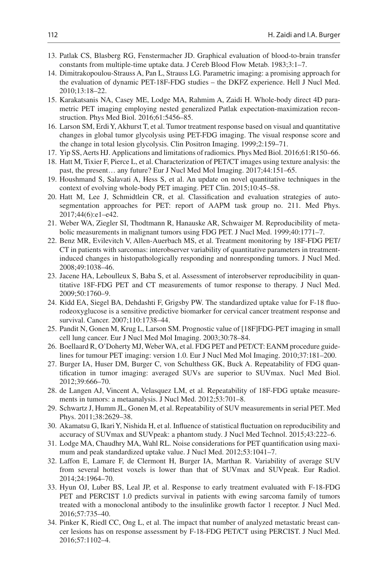- <span id="page-15-0"></span>13. Patlak CS, Blasberg RG, Fenstermacher JD. Graphical evaluation of blood-to-brain transfer constants from multiple-time uptake data. J Cereb Blood Flow Metab. 1983;3:1–7.
- <span id="page-15-1"></span>14. Dimitrakopoulou-Strauss A, Pan L, Strauss LG. Parametric imaging: a promising approach for the evaluation of dynamic PET-18F-FDG studies – the DKFZ experience. Hell J Nucl Med. 2010;13:18–22.
- <span id="page-15-2"></span>15. Karakatsanis NA, Casey ME, Lodge MA, Rahmim A, Zaidi H. Whole-body direct 4D parametric PET imaging employing nested generalized Patlak expectation-maximization reconstruction. Phys Med Biol. 2016;61:5456–85.
- <span id="page-15-3"></span>16. Larson SM, Erdi Y, Akhurst T, et al. Tumor treatment response based on visual and quantitative changes in global tumor glycolysis using PET-FDG imaging. The visual response score and the change in total lesion glycolysis. Clin Positron Imaging. 1999;2:159–71.
- <span id="page-15-4"></span>17. Yip SS, Aerts HJ. Applications and limitations of radiomics. Phys Med Biol. 2016;61:R150–66.
- <span id="page-15-5"></span>18. Hatt M, Tixier F, Pierce L, et al. Characterization of PET/CT images using texture analysis: the past, the present… any future? Eur J Nucl Med Mol Imaging. 2017;44:151–65.
- <span id="page-15-6"></span>19. Houshmand S, Salavati A, Hess S, et al. An update on novel quantitative techniques in the context of evolving whole-body PET imaging. PET Clin. 2015;10:45–58.
- <span id="page-15-7"></span>20. Hatt M, Lee J, Schmidtlein CR, et al. Classification and evaluation strategies of autosegmentation approaches for PET: report of AAPM task group no. 211. Med Phys. 2017;44(6):e1–e42.
- <span id="page-15-8"></span>21. Weber WA, Ziegler SI, Thodtmann R, Hanauske AR, Schwaiger M. Reproducibility of metabolic measurements in malignant tumors using FDG PET. J Nucl Med. 1999;40:1771–7.
- <span id="page-15-9"></span>22. Benz MR, Evilevitch V, Allen-Auerbach MS, et al. Treatment monitoring by 18F-FDG PET/ CT in patients with sarcomas: interobserver variability of quantitative parameters in treatmentinduced changes in histopathologically responding and nonresponding tumors. J Nucl Med. 2008;49:1038–46.
- <span id="page-15-10"></span>23. Jacene HA, Leboulleux S, Baba S, et al. Assessment of interobserver reproducibility in quantitative 18F-FDG PET and CT measurements of tumor response to therapy. J Nucl Med. 2009;50:1760–9.
- <span id="page-15-11"></span>24. Kidd EA, Siegel BA, Dehdashti F, Grigsby PW. The standardized uptake value for F-18 fluorodeoxyglucose is a sensitive predictive biomarker for cervical cancer treatment response and survival. Cancer. 2007;110:1738–44.
- <span id="page-15-12"></span>25. Pandit N, Gonen M, Krug L, Larson SM. Prognostic value of [18F]FDG-PET imaging in small cell lung cancer. Eur J Nucl Med Mol Imaging. 2003;30:78–84.
- <span id="page-15-13"></span>26. Boellaard R, O'Doherty MJ, Weber WA, et al. FDG PET and PET/CT: EANM procedure guidelines for tumour PET imaging: version 1.0. Eur J Nucl Med Mol Imaging. 2010;37:181–200.
- <span id="page-15-14"></span>27. Burger IA, Huser DM, Burger C, von Schulthess GK, Buck A. Repeatability of FDG quantification in tumor imaging: averaged SUVs are superior to SUVmax. Nucl Med Biol. 2012;39:666–70.
- 28. de Langen AJ, Vincent A, Velasquez LM, et al. Repeatability of 18F-FDG uptake measurements in tumors: a metaanalysis. J Nucl Med. 2012;53:701–8.
- <span id="page-15-15"></span>29. Schwartz J, Humm JL, Gonen M, et al. Repeatability of SUV measurements in serial PET. Med Phys. 2011;38:2629–38.
- <span id="page-15-16"></span>30. Akamatsu G, Ikari Y, Nishida H, et al. Influence of statistical fluctuation on reproducibility and accuracy of SUVmax and SUVpeak: a phantom study. J Nucl Med Technol. 2015;43:222–6.
- <span id="page-15-17"></span>31. Lodge MA, Chaudhry MA, Wahl RL. Noise considerations for PET quantification using maximum and peak standardized uptake value. J Nucl Med. 2012;53:1041–7.
- <span id="page-15-18"></span>32. Laffon E, Lamare F, de Clermont H, Burger IA, Marthan R. Variability of average SUV from several hottest voxels is lower than that of SUVmax and SUVpeak. Eur Radiol. 2014;24:1964–70.
- <span id="page-15-19"></span>33. Hyun OJ, Luber BS, Leal JP, et al. Response to early treatment evaluated with F-18-FDG PET and PERCIST 1.0 predicts survival in patients with ewing sarcoma family of tumors treated with a monoclonal antibody to the insulinlike growth factor 1 receptor. J Nucl Med. 2016;57:735–40.
- <span id="page-15-20"></span>34. Pinker K, Riedl CC, Ong L, et al. The impact that number of analyzed metastatic breast cancer lesions has on response assessment by F-18-FDG PET/CT using PERCIST. J Nucl Med. 2016;57:1102–4.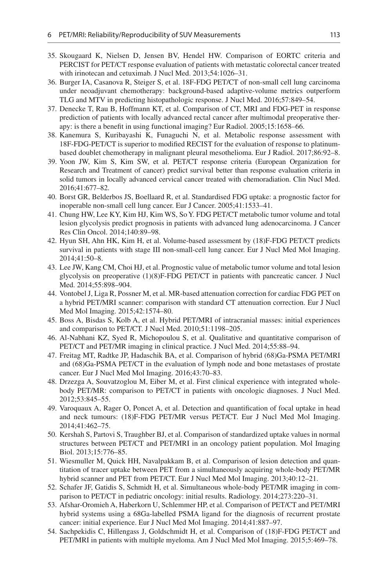- <span id="page-16-0"></span>35. Skougaard K, Nielsen D, Jensen BV, Hendel HW. Comparison of EORTC criteria and PERCIST for PET/CT response evaluation of patients with metastatic colorectal cancer treated with irinotecan and cetuximab. J Nucl Med. 2013;54:1026–31.
- <span id="page-16-1"></span>36. Burger IA, Casanova R, Steiger S, et al. 18F-FDG PET/CT of non-small cell lung carcinoma under neoadjuvant chemotherapy: background-based adaptive-volume metrics outperform TLG and MTV in predicting histopathologic response. J Nucl Med. 2016;57:849–54.
- <span id="page-16-2"></span>37. Denecke T, Rau B, Hoffmann KT, et al. Comparison of CT, MRI and FDG-PET in response prediction of patients with locally advanced rectal cancer after multimodal preoperative therapy: is there a benefit in using functional imaging? Eur Radiol. 2005;15:1658–66.
- <span id="page-16-3"></span>38. Kanemura S, Kuribayashi K, Funaguchi N, et al. Metabolic response assessment with 18F-FDG-PET/CT is superior to modified RECIST for the evaluation of response to platinumbased doublet chemotherapy in malignant pleural mesothelioma. Eur J Radiol. 2017;86:92–8.
- <span id="page-16-4"></span>39. Yoon JW, Kim S, Kim SW, et al. PET/CT response criteria (European Organization for Research and Treatment of cancer) predict survival better than response evaluation criteria in solid tumors in locally advanced cervical cancer treated with chemoradiation. Clin Nucl Med. 2016;41:677–82.
- <span id="page-16-5"></span>40. Borst GR, Belderbos JS, Boellaard R, et al. Standardised FDG uptake: a prognostic factor for inoperable non-small cell lung cancer. Eur J Cancer. 2005;41:1533–41.
- <span id="page-16-6"></span>41. Chung HW, Lee KY, Kim HJ, Kim WS, So Y. FDG PET/CT metabolic tumor volume and total lesion glycolysis predict prognosis in patients with advanced lung adenocarcinoma. J Cancer Res Clin Oncol. 2014;140:89–98.
- 42. Hyun SH, Ahn HK, Kim H, et al. Volume-based assessment by (18)F-FDG PET/CT predicts survival in patients with stage III non-small-cell lung cancer. Eur J Nucl Med Mol Imaging. 2014;41:50–8.
- <span id="page-16-7"></span>43. Lee JW, Kang CM, Choi HJ, et al. Prognostic value of metabolic tumor volume and total lesion glycolysis on preoperative (1)(8)F-FDG PET/CT in patients with pancreatic cancer. J Nucl Med. 2014;55:898–904.
- <span id="page-16-8"></span>44. Vontobel J, Liga R, Possner M, et al. MR-based attenuation correction for cardiac FDG PET on a hybrid PET/MRI scanner: comparison with standard CT attenuation correction. Eur J Nucl Med Mol Imaging. 2015;42:1574–80.
- <span id="page-16-9"></span>45. Boss A, Bisdas S, Kolb A, et al. Hybrid PET/MRI of intracranial masses: initial experiences and comparison to PET/CT. J Nucl Med. 2010;51:1198–205.
- <span id="page-16-10"></span>46. Al-Nabhani KZ, Syed R, Michopoulou S, et al. Qualitative and quantitative comparison of PET/CT and PET/MR imaging in clinical practice. J Nucl Med. 2014;55:88–94.
- <span id="page-16-11"></span>47. Freitag MT, Radtke JP, Hadaschik BA, et al. Comparison of hybrid (68)Ga-PSMA PET/MRI and (68)Ga-PSMA PET/CT in the evaluation of lymph node and bone metastases of prostate cancer. Eur J Nucl Med Mol Imaging. 2016;43:70–83.
- <span id="page-16-12"></span>48. Drzezga A, Souvatzoglou M, Eiber M, et al. First clinical experience with integrated wholebody PET/MR: comparison to PET/CT in patients with oncologic diagnoses. J Nucl Med. 2012;53:845–55.
- <span id="page-16-18"></span>49. Varoquaux A, Rager O, Poncet A, et al. Detection and quantification of focal uptake in head and neck tumours: (18)F-FDG PET/MR versus PET/CT. Eur J Nucl Med Mol Imaging. 2014;41:462–75.
- <span id="page-16-13"></span>50. Kershah S, Partovi S, Traughber BJ, et al. Comparison of standardized uptake values in normal structures between PET/CT and PET/MRI in an oncology patient population. Mol Imaging Biol. 2013;15:776–85.
- <span id="page-16-14"></span>51. Wiesmuller M, Quick HH, Navalpakkam B, et al. Comparison of lesion detection and quantitation of tracer uptake between PET from a simultaneously acquiring whole-body PET/MR hybrid scanner and PET from PET/CT. Eur J Nucl Med Mol Imaging. 2013;40:12–21.
- <span id="page-16-17"></span>52. Schafer JF, Gatidis S, Schmidt H, et al. Simultaneous whole-body PET/MR imaging in comparison to PET/CT in pediatric oncology: initial results. Radiology. 2014;273:220–31.
- <span id="page-16-15"></span>53. Afshar-Oromieh A, Haberkorn U, Schlemmer HP, et al. Comparison of PET/CT and PET/MRI hybrid systems using a 68Ga-labelled PSMA ligand for the diagnosis of recurrent prostate cancer: initial experience. Eur J Nucl Med Mol Imaging. 2014;41:887–97.
- <span id="page-16-16"></span>54. Sachpekidis C, Hillengass J, Goldschmidt H, et al. Comparison of (18)F-FDG PET/CT and PET/MRI in patients with multiple myeloma. Am J Nucl Med Mol Imaging. 2015;5:469–78.